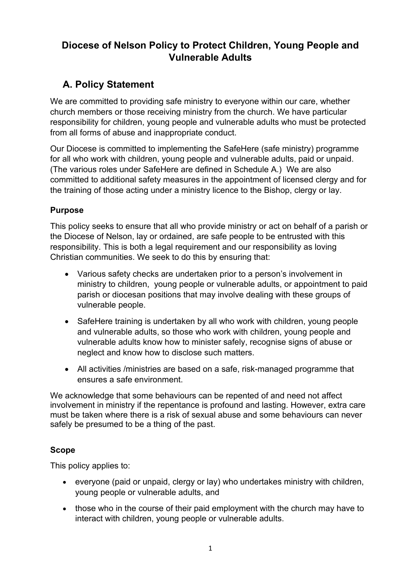### **Diocese of Nelson Policy to Protect Children, Young People and Vulnerable Adults**

### **A. Policy Statement**

We are committed to providing safe ministry to everyone within our care, whether church members or those receiving ministry from the church. We have particular responsibility for children, young people and vulnerable adults who must be protected from all forms of abuse and inappropriate conduct.

Our Diocese is committed to implementing the SafeHere (safe ministry) programme for all who work with children, young people and vulnerable adults, paid or unpaid. (The various roles under SafeHere are defined in Schedule A.) We are also committed to additional safety measures in the appointment of licensed clergy and for the training of those acting under a ministry licence to the Bishop, clergy or lay.

### **Purpose**

This policy seeks to ensure that all who provide ministry or act on behalf of a parish or the Diocese of Nelson, lay or ordained, are safe people to be entrusted with this responsibility. This is both a legal requirement and our responsibility as loving Christian communities. We seek to do this by ensuring that:

- Various safety checks are undertaken prior to a person's involvement in ministry to children, young people or vulnerable adults, or appointment to paid parish or diocesan positions that may involve dealing with these groups of vulnerable people.
- SafeHere training is undertaken by all who work with children, young people and vulnerable adults, so those who work with children, young people and vulnerable adults know how to minister safely, recognise signs of abuse or neglect and know how to disclose such matters.
- All activities /ministries are based on a safe, risk-managed programme that ensures a safe environment.

We acknowledge that some behaviours can be repented of and need not affect involvement in ministry if the repentance is profound and lasting. However, extra care must be taken where there is a risk of sexual abuse and some behaviours can never safely be presumed to be a thing of the past.

### **Scope**

This policy applies to:

- everyone (paid or unpaid, clergy or lay) who undertakes ministry with children, young people or vulnerable adults, and
- those who in the course of their paid employment with the church may have to interact with children, young people or vulnerable adults.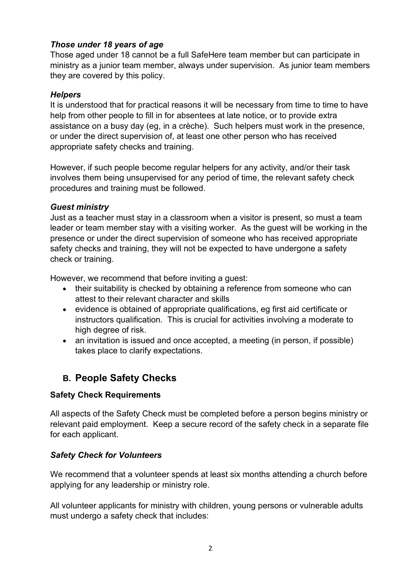### *Those under 18 years of age*

Those aged under 18 cannot be a full SafeHere team member but can participate in ministry as a junior team member, always under supervision. As junior team members they are covered by this policy.

### *Helpers*

It is understood that for practical reasons it will be necessary from time to time to have help from other people to fill in for absentees at late notice, or to provide extra assistance on a busy day (eg, in a crèche). Such helpers must work in the presence, or under the direct supervision of, at least one other person who has received appropriate safety checks and training.

However, if such people become regular helpers for any activity, and/or their task involves them being unsupervised for any period of time, the relevant safety check procedures and training must be followed.

#### *Guest ministry*

Just as a teacher must stay in a classroom when a visitor is present, so must a team leader or team member stay with a visiting worker. As the guest will be working in the presence or under the direct supervision of someone who has received appropriate safety checks and training, they will not be expected to have undergone a safety check or training.

However, we recommend that before inviting a guest:

- their suitability is checked by obtaining a reference from someone who can attest to their relevant character and skills
- evidence is obtained of appropriate qualifications, eg first aid certificate or instructors qualification. This is crucial for activities involving a moderate to high degree of risk.
- an invitation is issued and once accepted, a meeting (in person, if possible) takes place to clarify expectations.

### **B. People Safety Checks**

### **Safety Check Requirements**

All aspects of the Safety Check must be completed before a person begins ministry or relevant paid employment. Keep a secure record of the safety check in a separate file for each applicant.

### *Safety Check for Volunteers*

We recommend that a volunteer spends at least six months attending a church before applying for any leadership or ministry role.

All volunteer applicants for ministry with children, young persons or vulnerable adults must undergo a safety check that includes: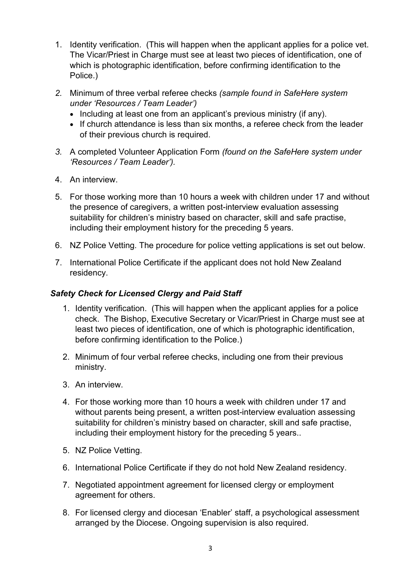- 1. Identity verification. (This will happen when the applicant applies for a police vet. The Vicar/Priest in Charge must see at least two pieces of identification, one of which is photographic identification, before confirming identification to the Police.)
- *2.* Minimum of three verbal referee checks *(sample found in SafeHere system under 'Resources / Team Leader')*
	- Including at least one from an applicant's previous ministry (if any).
	- If church attendance is less than six months, a referee check from the leader of their previous church is required.
- *3.* A completed Volunteer Application Form *(found on the SafeHere system under 'Resources / Team Leader').*
- 4. An interview.
- 5. For those working more than 10 hours a week with children under 17 and without the presence of caregivers, a written post-interview evaluation assessing suitability for children's ministry based on character, skill and safe practise, including their employment history for the preceding 5 years.
- 6. NZ Police Vetting. The procedure for police vetting applications is set out below.
- 7. International Police Certificate if the applicant does not hold New Zealand residency.

### *Safety Check for Licensed Clergy and Paid Staff*

- 1. Identity verification. (This will happen when the applicant applies for a police check. The Bishop, Executive Secretary or Vicar/Priest in Charge must see at least two pieces of identification, one of which is photographic identification, before confirming identification to the Police.)
- 2. Minimum of four verbal referee checks, including one from their previous ministry.
- 3. An interview.
- 4. For those working more than 10 hours a week with children under 17 and without parents being present, a written post-interview evaluation assessing suitability for children's ministry based on character, skill and safe practise, including their employment history for the preceding 5 years..
- 5. NZ Police Vetting.
- 6. International Police Certificate if they do not hold New Zealand residency.
- 7. Negotiated appointment agreement for licensed clergy or employment agreement for others.
- 8. For licensed clergy and diocesan 'Enabler' staff, a psychological assessment arranged by the Diocese. Ongoing supervision is also required.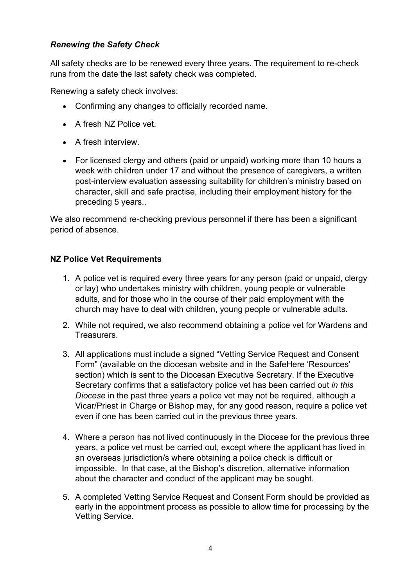### *Renewing the Safety Check*

All safety checks are to be renewed every three years. The requirement to re-check runs from the date the last safety check was completed.

Renewing a safety check involves:

- Confirming any changes to officially recorded name.
- A fresh N7 Police vet
- A fresh interview.
- For licensed clergy and others (paid or unpaid) working more than 10 hours a week with children under 17 and without the presence of caregivers, a written post-interview evaluation assessing suitability for children's ministry based on character, skill and safe practise, including their employment history for the preceding 5 years..

We also recommend re-checking previous personnel if there has been a significant period of absence.

### **NZ Police Vet Requirements**

- 1. A police vet is required every three years for any person (paid or unpaid, clergy or lay) who undertakes ministry with children, young people or vulnerable adults, and for those who in the course of their paid employment with the church may have to deal with children, young people or vulnerable adults.
- 2. While not required, we also recommend obtaining a police vet for Wardens and Treasurers.
- 3. All applications must include a signed "Vetting Service Request and Consent Form" (available on the diocesan website and in the SafeHere 'Resources' section) which is sent to the Diocesan Executive Secretary. If the Executive Secretary confirms that a satisfactory police vet has been carried out *in this Diocese* in the past three years a police vet may not be required, although a Vicar/Priest in Charge or Bishop may, for any good reason, require a police vet even if one has been carried out in the previous three years.
- 4. Where a person has not lived continuously in the Diocese for the previous three years, a police vet must be carried out, except where the applicant has lived in an overseas jurisdiction/s where obtaining a police check is difficult or impossible. In that case, at the Bishop's discretion, alternative information about the character and conduct of the applicant may be sought.
- 5. A completed Vetting Service Request and Consent Form should be provided as early in the appointment process as possible to allow time for processing by the Vetting Service.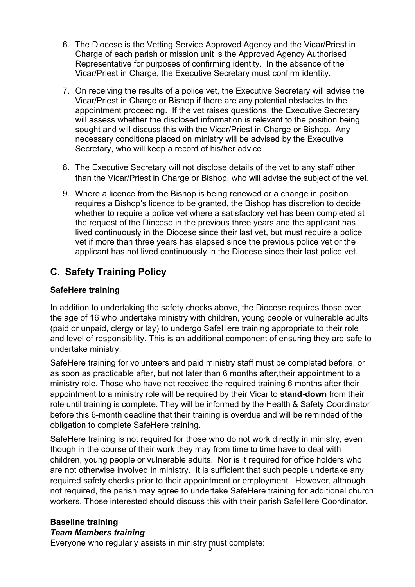- 6. The Diocese is the Vetting Service Approved Agency and the Vicar/Priest in Charge of each parish or mission unit is the Approved Agency Authorised Representative for purposes of confirming identity. In the absence of the Vicar/Priest in Charge, the Executive Secretary must confirm identity.
- 7. On receiving the results of a police vet, the Executive Secretary will advise the Vicar/Priest in Charge or Bishop if there are any potential obstacles to the appointment proceeding. If the vet raises questions, the Executive Secretary will assess whether the disclosed information is relevant to the position being sought and will discuss this with the Vicar/Priest in Charge or Bishop. Any necessary conditions placed on ministry will be advised by the Executive Secretary, who will keep a record of his/her advice
- 8. The Executive Secretary will not disclose details of the vet to any staff other than the Vicar/Priest in Charge or Bishop, who will advise the subject of the vet.
- 9. Where a licence from the Bishop is being renewed or a change in position requires a Bishop's licence to be granted, the Bishop has discretion to decide whether to require a police vet where a satisfactory vet has been completed at the request of the Diocese in the previous three years and the applicant has lived continuously in the Diocese since their last vet, but must require a police vet if more than three years has elapsed since the previous police vet or the applicant has not lived continuously in the Diocese since their last police vet.

## **C. Safety Training Policy**

### **SafeHere training**

In addition to undertaking the safety checks above, the Diocese requires those over the age of 16 who undertake ministry with children, young people or vulnerable adults (paid or unpaid, clergy or lay) to undergo SafeHere training appropriate to their role and level of responsibility. This is an additional component of ensuring they are safe to undertake ministry.

SafeHere training for volunteers and paid ministry staff must be completed before, or as soon as practicable after, but not later than 6 months after,their appointment to a ministry role. Those who have not received the required training 6 months after their appointment to a ministry role will be required by their Vicar to **stand-down** from their role until training is complete. They will be informed by the Health & Safety Coordinator before this 6-month deadline that their training is overdue and will be reminded of the obligation to complete SafeHere training.

SafeHere training is not required for those who do not work directly in ministry, even though in the course of their work they may from time to time have to deal with children, young people or vulnerable adults. Nor is it required for office holders who are not otherwise involved in ministry. It is sufficient that such people undertake any required safety checks prior to their appointment or employment. However, although not required, the parish may agree to undertake SafeHere training for additional church workers. Those interested should discuss this with their parish SafeHere Coordinator.

### **Baseline training**

### *Team Members training*

Everyone who regularly assists in ministry  $\frac{1}{5}$ nust complete: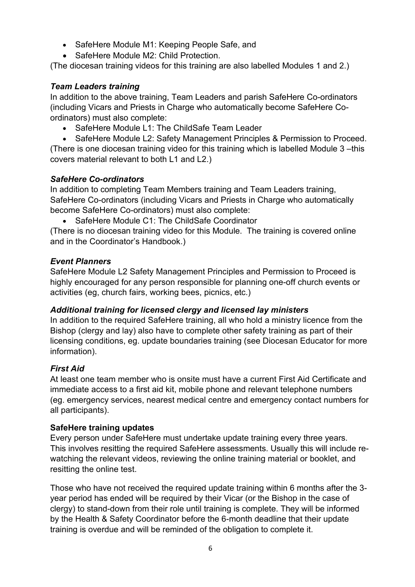- SafeHere Module M1: Keeping People Safe, and
- SafeHere Module M2: Child Protection.

(The diocesan training videos for this training are also labelled Modules 1 and 2.)

### *Team Leaders training*

In addition to the above training, Team Leaders and parish SafeHere Co-ordinators (including Vicars and Priests in Charge who automatically become SafeHere Coordinators) must also complete:

• SafeHere Module L1: The ChildSafe Team Leader

• SafeHere Module L2: Safety Management Principles & Permission to Proceed. (There is one diocesan training video for this training which is labelled Module 3 –this covers material relevant to both L1 and L2.)

### *SafeHere Co-ordinators*

In addition to completing Team Members training and Team Leaders training, SafeHere Co-ordinators (including Vicars and Priests in Charge who automatically become SafeHere Co-ordinators) must also complete:

• SafeHere Module C1: The ChildSafe Coordinator

(There is no diocesan training video for this Module. The training is covered online and in the Coordinator's Handbook.)

### *Event Planners*

SafeHere Module L2 Safety Management Principles and Permission to Proceed is highly encouraged for any person responsible for planning one-off church events or activities (eg, church fairs, working bees, picnics, etc.)

### *Additional training for licensed clergy and licensed lay ministers*

In addition to the required SafeHere training, all who hold a ministry licence from the Bishop (clergy and lay) also have to complete other safety training as part of their licensing conditions, eg. update boundaries training (see Diocesan Educator for more information).

### *First Aid*

At least one team member who is onsite must have a current First Aid Certificate and immediate access to a first aid kit, mobile phone and relevant telephone numbers (eg. emergency services, nearest medical centre and emergency contact numbers for all participants).

### **SafeHere training updates**

Every person under SafeHere must undertake update training every three years. This involves resitting the required SafeHere assessments. Usually this will include rewatching the relevant videos, reviewing the online training material or booklet, and resitting the online test.

Those who have not received the required update training within 6 months after the 3 year period has ended will be required by their Vicar (or the Bishop in the case of clergy) to stand-down from their role until training is complete. They will be informed by the Health & Safety Coordinator before the 6-month deadline that their update training is overdue and will be reminded of the obligation to complete it.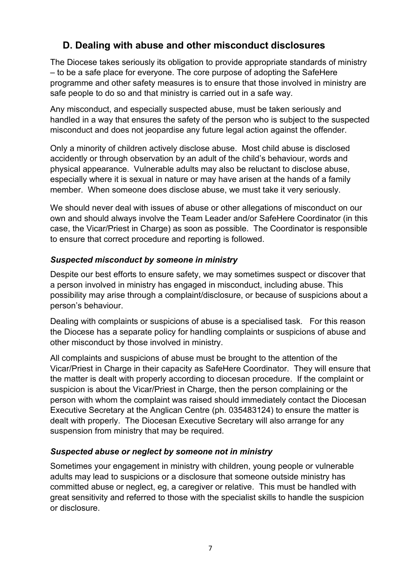### **D. Dealing with abuse and other misconduct disclosures**

The Diocese takes seriously its obligation to provide appropriate standards of ministry – to be a safe place for everyone. The core purpose of adopting the SafeHere programme and other safety measures is to ensure that those involved in ministry are safe people to do so and that ministry is carried out in a safe way.

Any misconduct, and especially suspected abuse, must be taken seriously and handled in a way that ensures the safety of the person who is subject to the suspected misconduct and does not jeopardise any future legal action against the offender.

Only a minority of children actively disclose abuse. Most child abuse is disclosed accidently or through observation by an adult of the child's behaviour, words and physical appearance. Vulnerable adults may also be reluctant to disclose abuse, especially where it is sexual in nature or may have arisen at the hands of a family member. When someone does disclose abuse, we must take it very seriously.

We should never deal with issues of abuse or other allegations of misconduct on our own and should always involve the Team Leader and/or SafeHere Coordinator (in this case, the Vicar/Priest in Charge) as soon as possible. The Coordinator is responsible to ensure that correct procedure and reporting is followed.

### *Suspected misconduct by someone in ministry*

Despite our best efforts to ensure safety, we may sometimes suspect or discover that a person involved in ministry has engaged in misconduct, including abuse. This possibility may arise through a complaint/disclosure, or because of suspicions about a person's behaviour.

Dealing with complaints or suspicions of abuse is a specialised task. For this reason the Diocese has a separate policy for handling complaints or suspicions of abuse and other misconduct by those involved in ministry.

All complaints and suspicions of abuse must be brought to the attention of the Vicar/Priest in Charge in their capacity as SafeHere Coordinator. They will ensure that the matter is dealt with properly according to diocesan procedure. If the complaint or suspicion is about the Vicar/Priest in Charge, then the person complaining or the person with whom the complaint was raised should immediately contact the Diocesan Executive Secretary at the Anglican Centre (ph. 035483124) to ensure the matter is dealt with properly. The Diocesan Executive Secretary will also arrange for any suspension from ministry that may be required.

### *Suspected abuse or neglect by someone not in ministry*

Sometimes your engagement in ministry with children, young people or vulnerable adults may lead to suspicions or a disclosure that someone outside ministry has committed abuse or neglect, eg, a caregiver or relative. This must be handled with great sensitivity and referred to those with the specialist skills to handle the suspicion or disclosure.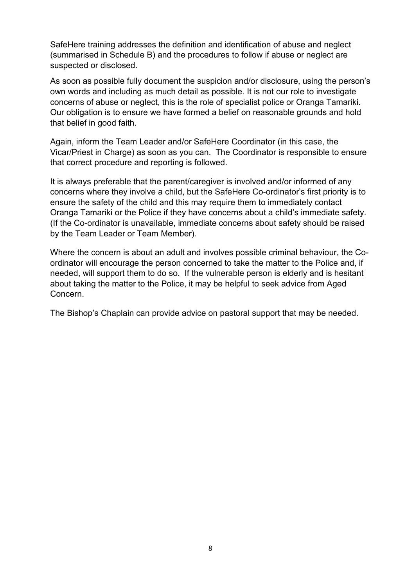SafeHere training addresses the definition and identification of abuse and neglect (summarised in Schedule B) and the procedures to follow if abuse or neglect are suspected or disclosed.

As soon as possible fully document the suspicion and/or disclosure, using the person's own words and including as much detail as possible. It is not our role to investigate concerns of abuse or neglect, this is the role of specialist police or Oranga Tamariki. Our obligation is to ensure we have formed a belief on reasonable grounds and hold that belief in good faith.

Again, inform the Team Leader and/or SafeHere Coordinator (in this case, the Vicar/Priest in Charge) as soon as you can. The Coordinator is responsible to ensure that correct procedure and reporting is followed.

It is always preferable that the parent/caregiver is involved and/or informed of any concerns where they involve a child, but the SafeHere Co-ordinator's first priority is to ensure the safety of the child and this may require them to immediately contact Oranga Tamariki or the Police if they have concerns about a child's immediate safety. (If the Co-ordinator is unavailable, immediate concerns about safety should be raised by the Team Leader or Team Member).

Where the concern is about an adult and involves possible criminal behaviour, the Coordinator will encourage the person concerned to take the matter to the Police and, if needed, will support them to do so. If the vulnerable person is elderly and is hesitant about taking the matter to the Police, it may be helpful to seek advice from Aged Concern.

The Bishop's Chaplain can provide advice on pastoral support that may be needed.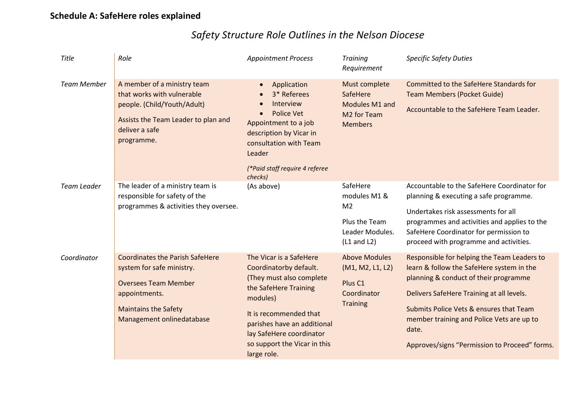# *Safety Structure Role Outlines in the Nelson Diocese*

| Title              | Role                                                                                                                                                                            | <b>Appointment Process</b>                                                                                                                                                                                                                             | <b>Training</b><br>Requirement                                                                    | <b>Specific Safety Duties</b>                                                                                                                                                                                                                                                                                                    |
|--------------------|---------------------------------------------------------------------------------------------------------------------------------------------------------------------------------|--------------------------------------------------------------------------------------------------------------------------------------------------------------------------------------------------------------------------------------------------------|---------------------------------------------------------------------------------------------------|----------------------------------------------------------------------------------------------------------------------------------------------------------------------------------------------------------------------------------------------------------------------------------------------------------------------------------|
| <b>Team Member</b> | A member of a ministry team<br>that works with vulnerable<br>people. (Child/Youth/Adult)<br>Assists the Team Leader to plan and<br>deliver a safe<br>programme.                 | Application<br>$\bullet$<br>3* Referees<br>Interview<br>$\bullet$<br><b>Police Vet</b><br>$\bullet$<br>Appointment to a job<br>description by Vicar in<br>consultation with Team<br>Leader<br>(*Paid staff require 4 referee<br>checks)                | Must complete<br>SafeHere<br>Modules M1 and<br>M2 for Team<br><b>Members</b>                      | Committed to the SafeHere Standards for<br><b>Team Members (Pocket Guide)</b><br>Accountable to the SafeHere Team Leader.                                                                                                                                                                                                        |
| Team Leader        | The leader of a ministry team is<br>responsible for safety of the<br>programmes & activities they oversee.                                                                      | (As above)                                                                                                                                                                                                                                             | SafeHere<br>modules M1 &<br>M <sub>2</sub><br>Plus the Team<br>Leader Modules.<br>$(L1$ and $L2)$ | Accountable to the SafeHere Coordinator for<br>planning & executing a safe programme.<br>Undertakes risk assessments for all<br>programmes and activities and applies to the<br>SafeHere Coordinator for permission to<br>proceed with programme and activities.                                                                 |
| Coordinator        | <b>Coordinates the Parish SafeHere</b><br>system for safe ministry.<br><b>Oversees Team Member</b><br>appointments.<br><b>Maintains the Safety</b><br>Management onlinedatabase | The Vicar is a SafeHere<br>Coordinatorby default.<br>(They must also complete<br>the SafeHere Training<br>modules)<br>It is recommended that<br>parishes have an additional<br>lay SafeHere coordinator<br>so support the Vicar in this<br>large role. | <b>Above Modules</b><br>(M1, M2, L1, L2)<br>Plus <sub>C1</sub><br>Coordinator<br><b>Training</b>  | Responsible for helping the Team Leaders to<br>learn & follow the SafeHere system in the<br>planning & conduct of their programme<br>Delivers SafeHere Training at all levels.<br>Submits Police Vets & ensures that Team<br>member training and Police Vets are up to<br>date.<br>Approves/signs "Permission to Proceed" forms. |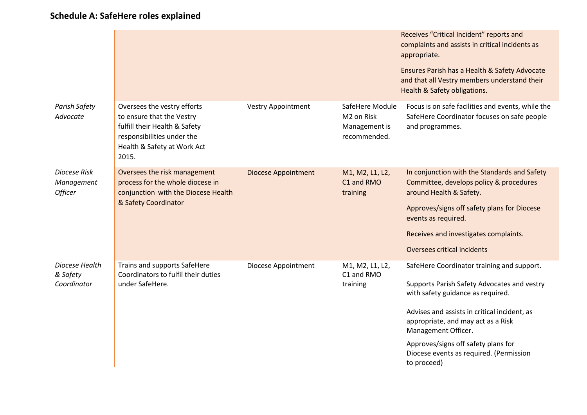|                                              |                                                                                                                                                                 |                            |                                                                | Receives "Critical Incident" reports and<br>complaints and assists in critical incidents as<br>appropriate.                                                                                                                                                                                                                                  |
|----------------------------------------------|-----------------------------------------------------------------------------------------------------------------------------------------------------------------|----------------------------|----------------------------------------------------------------|----------------------------------------------------------------------------------------------------------------------------------------------------------------------------------------------------------------------------------------------------------------------------------------------------------------------------------------------|
|                                              |                                                                                                                                                                 |                            |                                                                | Ensures Parish has a Health & Safety Advocate<br>and that all Vestry members understand their<br>Health & Safety obligations.                                                                                                                                                                                                                |
| Parish Safety<br>Advocate                    | Oversees the vestry efforts<br>to ensure that the Vestry<br>fulfill their Health & Safety<br>responsibilities under the<br>Health & Safety at Work Act<br>2015. | <b>Vestry Appointment</b>  | SafeHere Module<br>M2 on Risk<br>Management is<br>recommended. | Focus is on safe facilities and events, while the<br>SafeHere Coordinator focuses on safe people<br>and programmes.                                                                                                                                                                                                                          |
| Diocese Risk<br>Management<br><b>Officer</b> | Oversees the risk management<br>process for the whole diocese in<br>conjunction with the Diocese Health<br>& Safety Coordinator                                 | <b>Diocese Appointment</b> | M1, M2, L1, L2,<br>C1 and RMO<br>training                      | In conjunction with the Standards and Safety<br>Committee, develops policy & procedures<br>around Health & Safety.<br>Approves/signs off safety plans for Diocese<br>events as required.<br>Receives and investigates complaints.<br>Oversees critical incidents                                                                             |
| Diocese Health<br>& Safety<br>Coordinator    | Trains and supports SafeHere<br>Coordinators to fulfil their duties<br>under SafeHere.                                                                          | Diocese Appointment        | M1, M2, L1, L2,<br>C1 and RMO<br>training                      | SafeHere Coordinator training and support.<br>Supports Parish Safety Advocates and vestry<br>with safety guidance as required.<br>Advises and assists in critical incident, as<br>appropriate, and may act as a Risk<br>Management Officer.<br>Approves/signs off safety plans for<br>Diocese events as required. (Permission<br>to proceed) |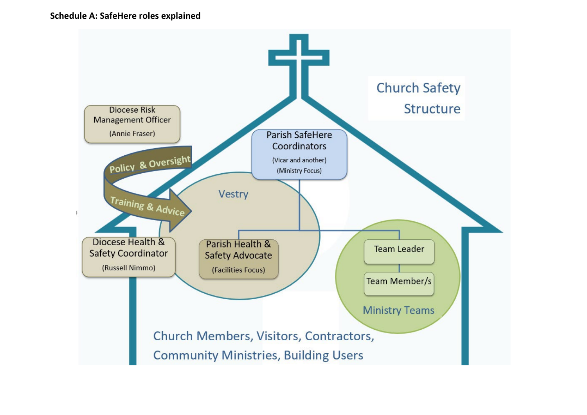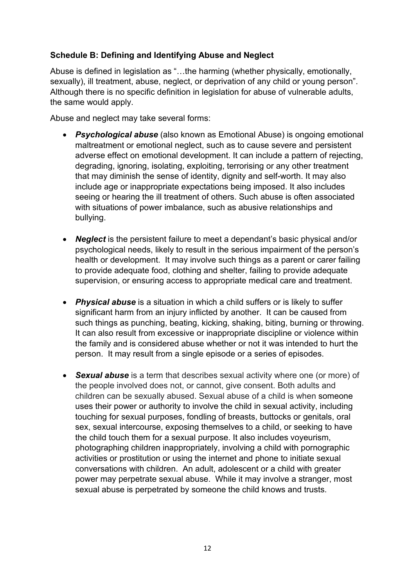### **Schedule B: Defining and Identifying Abuse and Neglect**

Abuse is defined in legislation as "…the harming (whether physically, emotionally, sexually), ill treatment, abuse, neglect, or deprivation of any child or young person". Although there is no specific definition in legislation for abuse of vulnerable adults, the same would apply.

Abuse and neglect may take several forms:

- *Psychological abuse* (also known as Emotional Abuse) is ongoing emotional maltreatment or emotional neglect, such as to cause severe and persistent adverse effect on emotional development. It can include a pattern of rejecting, degrading, ignoring, isolating, exploiting, terrorising or any other treatment that may diminish the sense of identity, dignity and self-worth. It may also include age or inappropriate expectations being imposed. It also includes seeing or hearing the ill treatment of others. Such abuse is often associated with situations of power imbalance, such as abusive relationships and bullying.
- **Neglect** is the persistent failure to meet a dependant's basic physical and/or psychological needs, likely to result in the serious impairment of the person's health or development. It may involve such things as a parent or carer failing to provide adequate food, clothing and shelter, failing to provide adequate supervision, or ensuring access to appropriate medical care and treatment.
- *Physical abuse* is a situation in which a child suffers or is likely to suffer significant harm from an injury inflicted by another. It can be caused from such things as punching, beating, kicking, shaking, biting, burning or throwing. It can also result from excessive or inappropriate discipline or violence within the family and is considered abuse whether or not it was intended to hurt the person. It may result from a single episode or a series of episodes.
- *Sexual abuse* is a term that describes sexual activity where one (or more) of the people involved does not, or cannot, give consent. Both adults and children can be sexually abused. Sexual abuse of a child is when someone uses their power or authority to involve the child in sexual activity, including touching for sexual purposes, fondling of breasts, buttocks or genitals, oral sex, sexual intercourse, exposing themselves to a child, or seeking to have the child touch them for a sexual purpose. It also includes voyeurism, photographing children inappropriately, involving a child with pornographic activities or prostitution or using the internet and phone to initiate sexual conversations with children. An adult, adolescent or a child with greater power may perpetrate sexual abuse. While it may involve a stranger, most sexual abuse is perpetrated by someone the child knows and trusts.